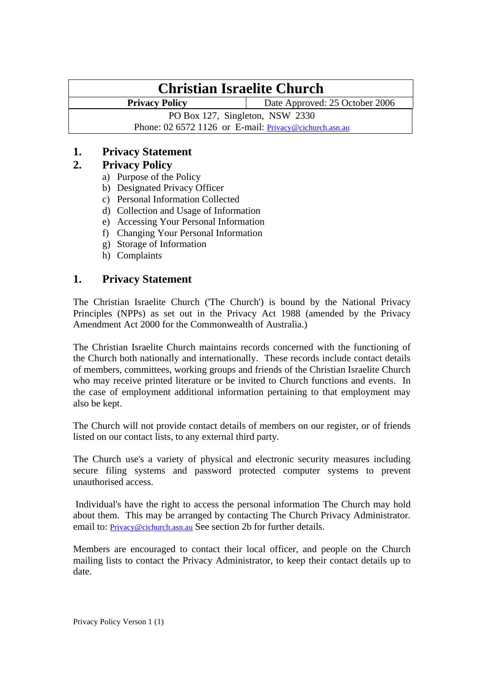# **Christian Israelite Church**

**Privacy Policy Date Approved: 25 October 2006** 

PO Box 127, Singleton, NSW 2330

Phone: 02 6572 1126 or E-mail: [Privacy@cichurch.asn.au](mailto:Privacy@cichurch.asn.au)

# **1. Privacy Statement**

# **2. Privacy Policy**

- a) Purpose of the Policy
- b) Designated Privacy Officer
- c) Personal Information Collected
- d) Collection and Usage of Information
- e) Accessing Your Personal Information
- f) Changing Your Personal Information
- g) Storage of Information
- h) Complaints

# **1. Privacy Statement**

The Christian Israelite Church ('The Church') is bound by the National Privacy Principles (NPPs) as set out in the Privacy Act 1988 (amended by the Privacy Amendment Act 2000 for the Commonwealth of Australia.)

The Christian Israelite Church maintains records concerned with the functioning of the Church both nationally and internationally. These records include contact details of members, committees, working groups and friends of the Christian Israelite Church who may receive printed literature or be invited to Church functions and events. In the case of employment additional information pertaining to that employment may also be kept.

The Church will not provide contact details of members on our register, or of friends listed on our contact lists, to any external third party.

The Church use's a variety of physical and electronic security measures including secure filing systems and password protected computer systems to prevent unauthorised access.

 Individual's have the right to access the personal information The Church may hold about them. This may be arranged by contacting The Church Privacy Administrator. email to: [Privacy@cichurch.asn.au](mailto:Privacy@cichurch.asn.au) See section 2b for further details.

Members are encouraged to contact their local officer, and people on the Church mailing lists to contact the Privacy Administrator, to keep their contact details up to date.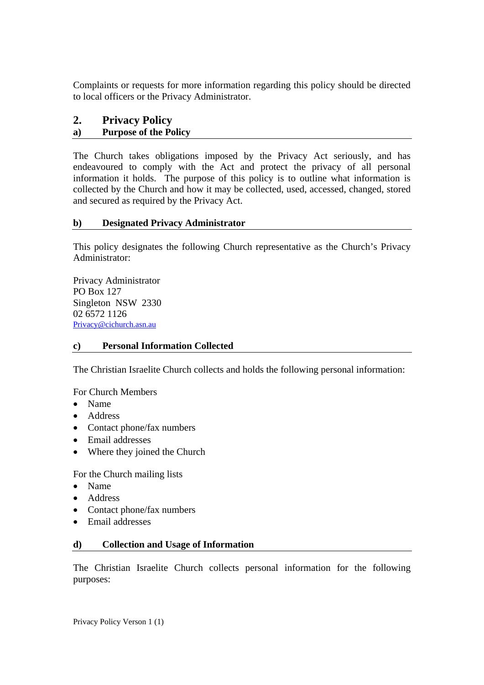Complaints or requests for more information regarding this policy should be directed to local officers or the Privacy Administrator.

# **2. Privacy Policy**

# **a) Purpose of the Policy**

The Church takes obligations imposed by the Privacy Act seriously, and has endeavoured to comply with the Act and protect the privacy of all personal information it holds. The purpose of this policy is to outline what information is collected by the Church and how it may be collected, used, accessed, changed, stored and secured as required by the Privacy Act.

### **b) Designated Privacy Administrator**

This policy designates the following Church representative as the Church's Privacy Administrator:

Privacy Administrator PO Box 127 Singleton NSW 2330 02 6572 1126 [Privacy@cichurch.asn.au](mailto:Privacy@cichurch.asn.au)

#### **c) Personal Information Collected**

The Christian Israelite Church collects and holds the following personal information:

For Church Members

- Name
- Address
- Contact phone/fax numbers
- Email addresses
- Where they joined the Church

For the Church mailing lists

- Name
- Address
- Contact phone/fax numbers
- Email addresses

#### **d) Collection and Usage of Information**

The Christian Israelite Church collects personal information for the following purposes: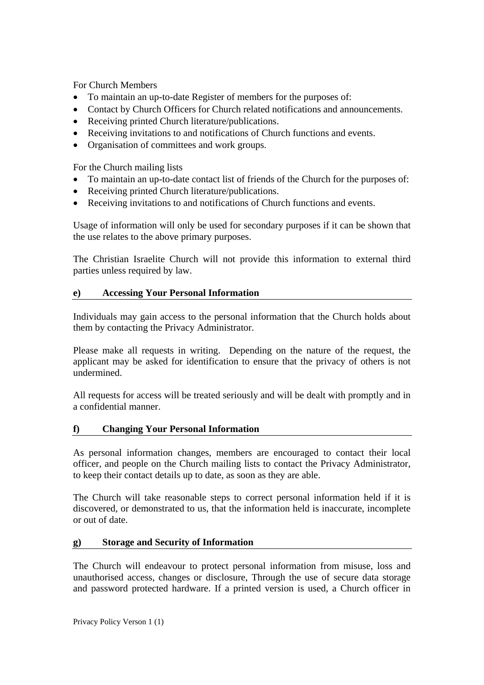For Church Members

- To maintain an up-to-date Register of members for the purposes of:
- Contact by Church Officers for Church related notifications and announcements.
- Receiving printed Church literature/publications.
- Receiving invitations to and notifications of Church functions and events.
- Organisation of committees and work groups.

For the Church mailing lists

- To maintain an up-to-date contact list of friends of the Church for the purposes of:
- Receiving printed Church literature/publications.
- Receiving invitations to and notifications of Church functions and events.

Usage of information will only be used for secondary purposes if it can be shown that the use relates to the above primary purposes.

The Christian Israelite Church will not provide this information to external third parties unless required by law.

#### **e) Accessing Your Personal Information**

Individuals may gain access to the personal information that the Church holds about them by contacting the Privacy Administrator.

Please make all requests in writing. Depending on the nature of the request, the applicant may be asked for identification to ensure that the privacy of others is not undermined.

All requests for access will be treated seriously and will be dealt with promptly and in a confidential manner.

#### **f) Changing Your Personal Information**

As personal information changes, members are encouraged to contact their local officer, and people on the Church mailing lists to contact the Privacy Administrator, to keep their contact details up to date, as soon as they are able.

The Church will take reasonable steps to correct personal information held if it is discovered, or demonstrated to us, that the information held is inaccurate, incomplete or out of date.

#### **g) Storage and Security of Information**

The Church will endeavour to protect personal information from misuse, loss and unauthorised access, changes or disclosure, Through the use of secure data storage and password protected hardware. If a printed version is used, a Church officer in